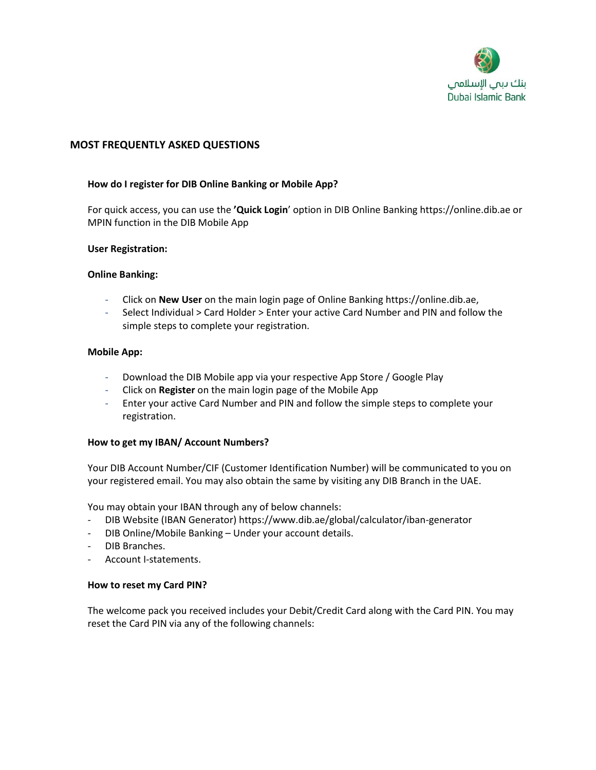

# **MOST FREQUENTLY ASKED QUESTIONS**

## **How do I register for DIB Online Banking or Mobile App?**

For quick access, you can use the **'Quick Login**' option in DIB Online Banking https://online.dib.ae or MPIN function in the DIB Mobile App

### **User Registration:**

### **Online Banking:**

- Click on **New User** on the main login page of Online Banking https://online.dib.ae,
- Select Individual > Card Holder > Enter your active Card Number and PIN and follow the simple steps to complete your registration.

### **Mobile App:**

- Download the DIB Mobile app via your respective App Store / Google Play
- Click on **Register** on the main login page of the Mobile App
- Enter your active Card Number and PIN and follow the simple steps to complete your registration.

### **How to get my IBAN/ Account Numbers?**

Your DIB Account Number/CIF (Customer Identification Number) will be communicated to you on your registered email. You may also obtain the same by visiting any DIB Branch in the UAE.

You may obtain your IBAN through any of below channels:

- DIB Website (IBAN Generator) https://www.dib.ae/global/calculator/iban-generator
- DIB Online/Mobile Banking Under your account details.
- DIB Branches.
- Account I-statements.

### **How to reset my Card PIN?**

The welcome pack you received includes your Debit/Credit Card along with the Card PIN. You may reset the Card PIN via any of the following channels: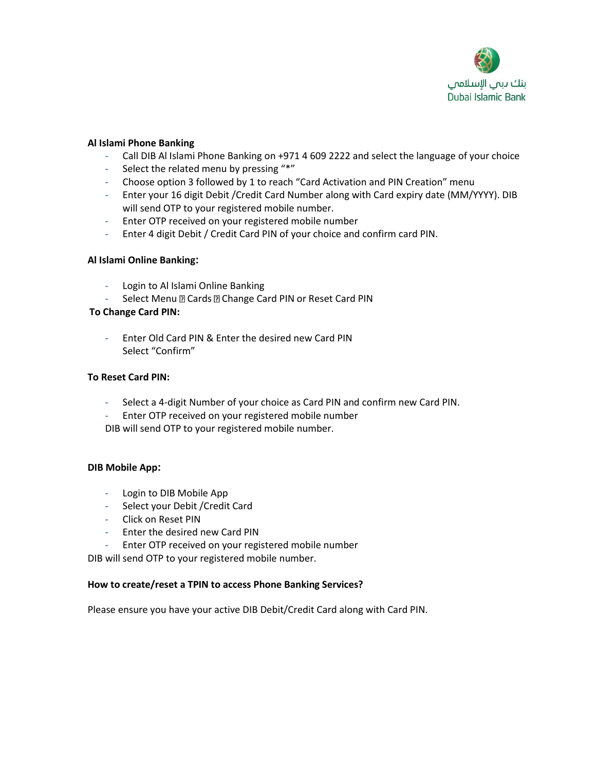

## **Al Islami Phone Banking**

- Call DIB Al Islami Phone Banking on +971 4 609 2222 and select the language of your choice
- Select the related menu by pressing "\*"
- Choose option 3 followed by 1 to reach "Card Activation and PIN Creation" menu
- Enter your 16 digit Debit /Credit Card Number along with Card expiry date (MM/YYYY). DIB will send OTP to your registered mobile number.
- Enter OTP received on your registered mobile number
- Enter 4 digit Debit / Credit Card PIN of your choice and confirm card PIN.

## **Al Islami Online Banking:**

- Login to Al Islami Online Banking
- Select Menu **D** Cards **D** Change Card PIN or Reset Card PIN

## **To Change Card PIN:**

- Enter Old Card PIN & Enter the desired new Card PIN Select "Confirm"

## **To Reset Card PIN:**

- Select a 4-digit Number of your choice as Card PIN and confirm new Card PIN.
- Enter OTP received on your registered mobile number

DIB will send OTP to your registered mobile number.

### **DIB Mobile App:**

- Login to DIB Mobile App
- Select your Debit /Credit Card
- Click on Reset PIN
- Enter the desired new Card PIN
- Enter OTP received on your registered mobile number

DIB will send OTP to your registered mobile number.

### **How to create/reset a TPIN to access Phone Banking Services?**

Please ensure you have your active DIB Debit/Credit Card along with Card PIN.